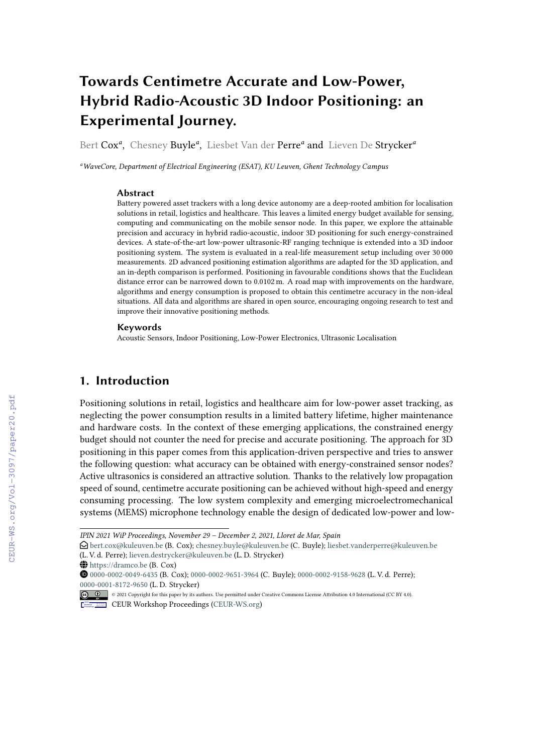# **Towards Centimetre Accurate and Low-Power, Hybrid Radio-Acoustic 3D Indoor Positioning: an Experimental Journey.**

Bert Cox<sup>a</sup>, Chesney Buyle<sup>a</sup>, Liesbet Van der Perre<sup>a</sup> and Lieven De Strycker<sup>a</sup>

*<sup>a</sup>WaveCore, Department of Electrical Engineering (ESAT), KU Leuven, Ghent Technology Campus*

#### **Abstract**

Battery powered asset trackers with a long device autonomy are a deep-rooted ambition for localisation solutions in retail, logistics and healthcare. This leaves a limited energy budget available for sensing, computing and communicating on the mobile sensor node. In this paper, we explore the attainable precision and accuracy in hybrid radio-acoustic, indoor 3D positioning for such energy-constrained devices. A state-of-the-art low-power ultrasonic-RF ranging technique is extended into a 3D indoor positioning system. The system is evaluated in a real-life measurement setup including over 30 000 measurements. 2D advanced positioning estimation algorithms are adapted for the 3D application, and an in-depth comparison is performed. Positioning in favourable conditions shows that the Euclidean distance error can be narrowed down to 0.0102 m. A road map with improvements on the hardware, algorithms and energy consumption is proposed to obtain this centimetre accuracy in the non-ideal situations. All data and algorithms are shared in open source, encouraging ongoing research to test and improve their innovative positioning methods.

#### **Keywords**

Acoustic Sensors, Indoor Positioning, Low-Power Electronics, Ultrasonic Localisation

# **1. Introduction**

Positioning solutions in retail, logistics and healthcare aim for low-power asset tracking, as neglecting the power consumption results in a limited battery lifetime, higher maintenance and hardware costs. In the context of these emerging applications, the constrained energy budget should not counter the need for precise and accurate positioning. The approach for 3D positioning in this paper comes from this application-driven perspective and tries to answer the following question: what accuracy can be obtained with energy-constrained sensor nodes? Active ultrasonics is considered an attractive solution. Thanks to the relatively low propagation speed of sound, centimetre accurate positioning can be achieved without high-speed and energy consuming processing. The low system complexity and emerging microelectromechanical systems (MEMS) microphone technology enable the design of dedicated low-power and low-

*IPIN 2021 WiP Proceedings, November 29 – December 2, 2021, Lloret de Mar, Spain*

 $\bigcirc$ [bert.cox@kuleuven.be](mailto:bert.cox@kuleuven.be) (B. Cox); [chesney.buyle@kuleuven.be](mailto:chesney.buyle@kuleuven.be) (C. Buyle); [liesbet.vanderperre@kuleuven.be](mailto:liesbet.vanderperre@kuleuven.be) (L. V. d. Perre); [lieven.destrycker@kuleuven.be](mailto:lieven.destrycker@kuleuven.be) (L. D. Strycker)

 $\bigoplus$  <https://dramco.be> (B. Cox)

Orcid [0000-0002-0049-6435](https://orcid.org/0000-0002-0049-6435) (B. Cox); [0000-0002-9651-3964](https://orcid.org/0000-0002-9651-3964) (C. Buyle); [0000-0002-9158-9628](https://orcid.org/0000-0002-9158-9628) (L. V. d. Perre); [0000-0001-8172-9650](https://orcid.org/0000-0001-8172-9650) (L. D. Strycker)

<sup>© 2021</sup> Copyright for this paper by its authors. Use permitted under Creative Commons License Attribution 4.0 International (CC BY 4.0). CEUR Workshop [Proceedings](http://ceur-ws.org) [\(CEUR-WS.org\)](http://ceur-ws.org)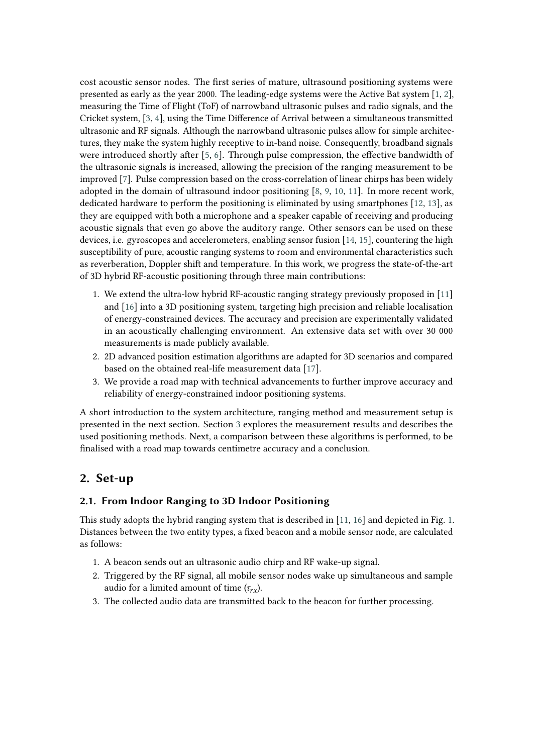cost acoustic sensor nodes. The first series of mature, ultrasound positioning systems were presented as early as the year 2000. The leading-edge systems were the Active Bat system [\[1,](#page-9-0) [2\]](#page-9-1), measuring the Time of Flight (ToF) of narrowband ultrasonic pulses and radio signals, and the Cricket system, [\[3,](#page-9-2) [4\]](#page-10-0), using the Time Difference of Arrival between a simultaneous transmitted ultrasonic and RF signals. Although the narrowband ultrasonic pulses allow for simple architectures, they make the system highly receptive to in-band noise. Consequently, broadband signals were introduced shortly after [\[5,](#page-10-1) [6\]](#page-10-2). Through pulse compression, the effective bandwidth of the ultrasonic signals is increased, allowing the precision of the ranging measurement to be improved [\[7\]](#page-10-3). Pulse compression based on the cross-correlation of linear chirps has been widely adopted in the domain of ultrasound indoor positioning [\[8,](#page-10-4) [9,](#page-10-5) [10,](#page-10-6) [11\]](#page-10-7). In more recent work, dedicated hardware to perform the positioning is eliminated by using smartphones [\[12,](#page-10-8) [13\]](#page-10-9), as they are equipped with both a microphone and a speaker capable of receiving and producing acoustic signals that even go above the auditory range. Other sensors can be used on these devices, i.e. gyroscopes and accelerometers, enabling sensor fusion [\[14,](#page-10-10) [15\]](#page-10-11), countering the high susceptibility of pure, acoustic ranging systems to room and environmental characteristics such as reverberation, Doppler shift and temperature. In this work, we progress the state-of-the-art of 3D hybrid RF-acoustic positioning through three main contributions:

- 1. We extend the ultra-low hybrid RF-acoustic ranging strategy previously proposed in [\[11\]](#page-10-7) and [\[16\]](#page-10-12) into a 3D positioning system, targeting high precision and reliable localisation of energy-constrained devices. The accuracy and precision are experimentally validated in an acoustically challenging environment. An extensive data set with over 30 000 measurements is made publicly available.
- 2. 2D advanced position estimation algorithms are adapted for 3D scenarios and compared based on the obtained real-life measurement data [\[17\]](#page-11-0).
- 3. We provide a road map with technical advancements to further improve accuracy and reliability of energy-constrained indoor positioning systems.

A short introduction to the system architecture, ranging method and measurement setup is presented in the next section. Section [3](#page-4-0) explores the measurement results and describes the used positioning methods. Next, a comparison between these algorithms is performed, to be finalised with a road map towards centimetre accuracy and a conclusion.

# **2. Set-up**

### **2.1. From Indoor Ranging to 3D Indoor Positioning**

This study adopts the hybrid ranging system that is described in [\[11,](#page-10-7) [16\]](#page-10-12) and depicted in Fig. [1.](#page-2-0) Distances between the two entity types, a fixed beacon and a mobile sensor node, are calculated as follows:

- 1. A beacon sends out an ultrasonic audio chirp and RF wake-up signal.
- 2. Triggered by the RF signal, all mobile sensor nodes wake up simultaneous and sample audio for a limited amount of time  $(\tau_{rx})$ .
- 3. The collected audio data are transmitted back to the beacon for further processing.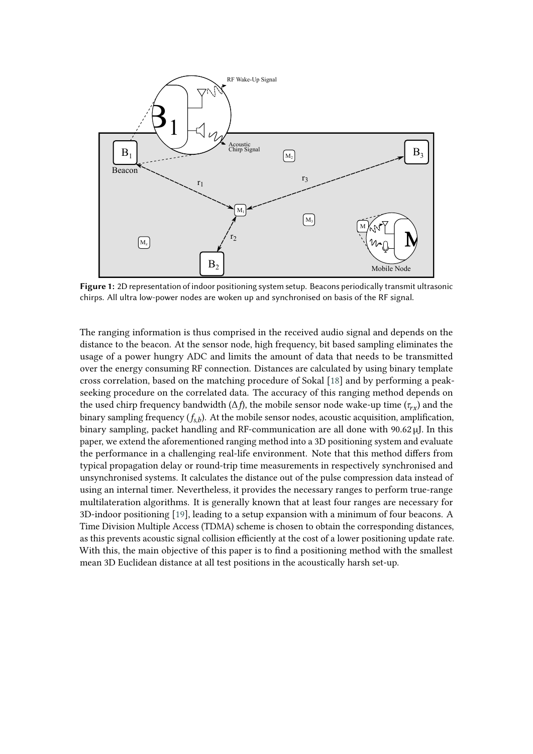<span id="page-2-0"></span>

**Figure 1:** 2D representation of indoor positioning system setup. Beacons periodically transmit ultrasonic chirps. All ultra low-power nodes are woken up and synchronised on basis of the RF signal.

The ranging information is thus comprised in the received audio signal and depends on the distance to the beacon. At the sensor node, high frequency, bit based sampling eliminates the usage of a power hungry ADC and limits the amount of data that needs to be transmitted over the energy consuming RF connection. Distances are calculated by using binary template cross correlation, based on the matching procedure of Sokal [\[18\]](#page-11-1) and by performing a peakseeking procedure on the correlated data. The accuracy of this ranging method depends on the used chirp frequency bandwidth ( $\Delta f$ ), the mobile sensor node wake-up time ( $\tau_{rx}$ ) and the binary sampling frequency  $(f_{s,b})$ . At the mobile sensor nodes, acoustic acquisition, amplification, binary sampling, packet handling and RF-communication are all done with 90.62 µJ. In this paper, we extend the aforementioned ranging method into a 3D positioning system and evaluate the performance in a challenging real-life environment. Note that this method differs from typical propagation delay or round-trip time measurements in respectively synchronised and unsynchronised systems. It calculates the distance out of the pulse compression data instead of using an internal timer. Nevertheless, it provides the necessary ranges to perform true-range multilateration algorithms. It is generally known that at least four ranges are necessary for 3D-indoor positioning [\[19\]](#page-11-2), leading to a setup expansion with a minimum of four beacons. A Time Division Multiple Access (TDMA) scheme is chosen to obtain the corresponding distances, as this prevents acoustic signal collision efficiently at the cost of a lower positioning update rate. With this, the main objective of this paper is to find a positioning method with the smallest mean 3D Euclidean distance at all test positions in the acoustically harsh set-up.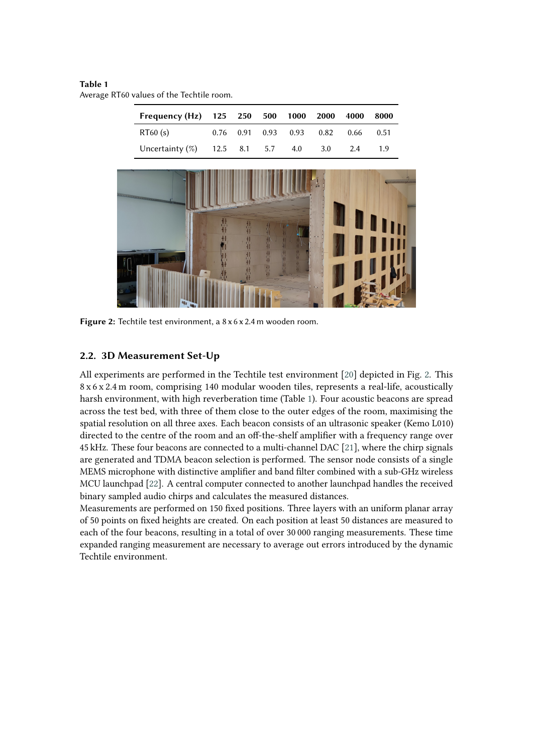#### <span id="page-3-1"></span>**Table 1**

Average RT60 values of the Techtile room.

<span id="page-3-0"></span>

| Frequency (Hz)     | 125  | 250  | 500  | 1000 | 2000 | 4000 | 8000         |  |
|--------------------|------|------|------|------|------|------|--------------|--|
| RT60(s)            | 0.76 | 0.91 | 0.93 | 0.93 | 0.82 | 0.66 | 0.51         |  |
| Uncertainty $(\%)$ | 12.5 | 8.1  | 5.7  | 4.0  | 3.0  | 2.4  | 1.9          |  |
|                    |      |      |      |      |      |      |              |  |
|                    |      |      |      |      |      |      |              |  |
|                    |      |      |      |      |      |      |              |  |
|                    | 昔村   |      |      |      |      |      | <b>THILL</b> |  |
|                    |      | 排    |      |      |      |      |              |  |
|                    |      |      |      |      |      |      | T            |  |
|                    |      |      |      |      |      |      |              |  |
|                    |      |      |      |      |      |      |              |  |
|                    |      |      |      |      |      |      |              |  |

**Figure 2:** Techtile test environment, a 8 x 6 x 2.4 m wooden room.

### **2.2. 3D Measurement Set-Up**

All experiments are performed in the Techtile test environment [\[20\]](#page-11-3) depicted in Fig. [2.](#page-3-0) This 8 x 6 x 2.4 m room, comprising 140 modular wooden tiles, represents a real-life, acoustically harsh environment, with high reverberation time (Table [1\)](#page-3-1). Four acoustic beacons are spread across the test bed, with three of them close to the outer edges of the room, maximising the spatial resolution on all three axes. Each beacon consists of an ultrasonic speaker (Kemo L010) directed to the centre of the room and an off-the-shelf amplifier with a frequency range over 45 kHz. These four beacons are connected to a multi-channel DAC [\[21\]](#page-11-4), where the chirp signals are generated and TDMA beacon selection is performed. The sensor node consists of a single MEMS microphone with distinctive amplifier and band filter combined with a sub-GHz wireless MCU launchpad [\[22\]](#page-11-5). A central computer connected to another launchpad handles the received binary sampled audio chirps and calculates the measured distances.

Measurements are performed on 150 fixed positions. Three layers with an uniform planar array of 50 points on fixed heights are created. On each position at least 50 distances are measured to each of the four beacons, resulting in a total of over 30 000 ranging measurements. These time expanded ranging measurement are necessary to average out errors introduced by the dynamic Techtile environment.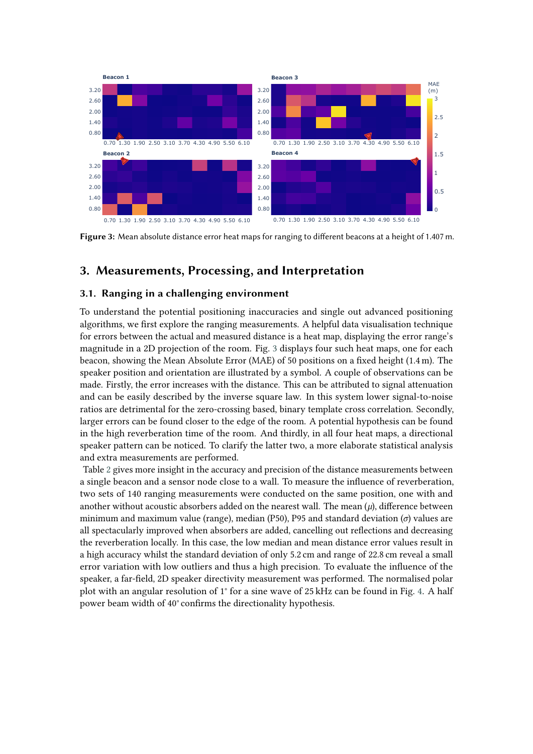<span id="page-4-1"></span>

**Figure 3:** Mean absolute distance error heat maps for ranging to different beacons at a height of 1.407 m.

# <span id="page-4-0"></span>**3. Measurements, Processing, and Interpretation**

### **3.1. Ranging in a challenging environment**

To understand the potential positioning inaccuracies and single out advanced positioning algorithms, we first explore the ranging measurements. A helpful data visualisation technique for errors between the actual and measured distance is a heat map, displaying the error range's magnitude in a 2D projection of the room. Fig. [3](#page-4-1) displays four such heat maps, one for each beacon, showing the Mean Absolute Error (MAE) of 50 positions on a fixed height (1.4 m). The speaker position and orientation are illustrated by a symbol. A couple of observations can be made. Firstly, the error increases with the distance. This can be attributed to signal attenuation and can be easily described by the inverse square law. In this system lower signal-to-noise ratios are detrimental for the zero-crossing based, binary template cross correlation. Secondly, larger errors can be found closer to the edge of the room. A potential hypothesis can be found in the high reverberation time of the room. And thirdly, in all four heat maps, a directional speaker pattern can be noticed. To clarify the latter two, a more elaborate statistical analysis and extra measurements are performed.

Table [2](#page-5-0) gives more insight in the accuracy and precision of the distance measurements between a single beacon and a sensor node close to a wall. To measure the influence of reverberation, two sets of 140 ranging measurements were conducted on the same position, one with and another without acoustic absorbers added on the nearest wall. The mean  $(\mu)$ , difference between minimum and maximum value (range), median (P50), P95 and standard deviation  $(\sigma)$  values are all spectacularly improved when absorbers are added, cancelling out reflections and decreasing the reverberation locally. In this case, the low median and mean distance error values result in a high accuracy whilst the standard deviation of only 5.2 cm and range of 22.8 cm reveal a small error variation with low outliers and thus a high precision. To evaluate the influence of the speaker, a far-field, 2D speaker directivity measurement was performed. The normalised polar plot with an angular resolution of 1° for a sine wave of 25 kHz can be found in Fig. [4.](#page-5-1) A half power beam width of 40° confirms the directionality hypothesis.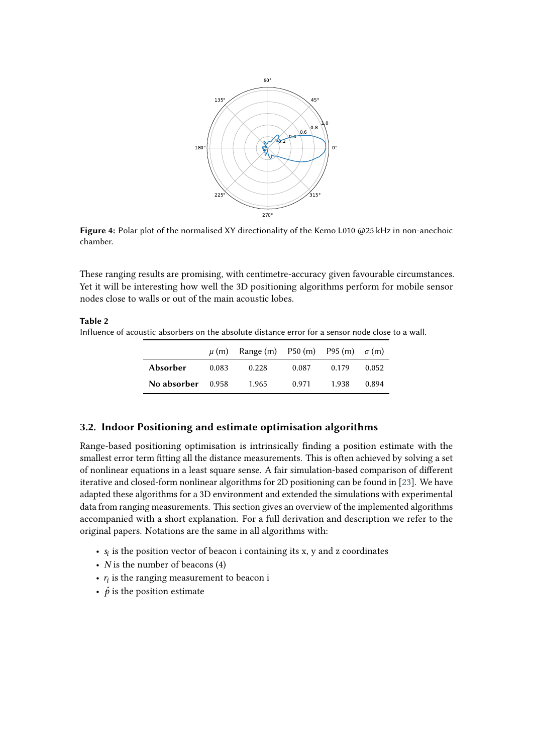<span id="page-5-1"></span>

**Figure 4:** Polar plot of the normalised XY directionality of the Kemo L010 @25 kHz in non-anechoic chamber.

These ranging results are promising, with centimetre-accuracy given favourable circumstances. Yet it will be interesting how well the 3D positioning algorithms perform for mobile sensor nodes close to walls or out of the main acoustic lobes.

#### <span id="page-5-0"></span>**Table 2**

Influence of acoustic absorbers on the absolute distance error for a sensor node close to a wall.

|                   |       | $\mu$ (m) Range (m) P50 (m) P95 (m) $\sigma$ (m) |       |       |       |
|-------------------|-------|--------------------------------------------------|-------|-------|-------|
| Absorber          | 0.083 | 0.228                                            | 0.087 | 0.179 | 0.052 |
| No absorber 0.958 |       | 1.965                                            | 0.971 | 1.938 | 0.894 |

#### **3.2. Indoor Positioning and estimate optimisation algorithms**

Range-based positioning optimisation is intrinsically finding a position estimate with the smallest error term fitting all the distance measurements. This is often achieved by solving a set of nonlinear equations in a least square sense. A fair simulation-based comparison of different iterative and closed-form nonlinear algorithms for 2D positioning can be found in [\[23\]](#page-11-6). We have adapted these algorithms for a 3D environment and extended the simulations with experimental data from ranging measurements. This section gives an overview of the implemented algorithms accompanied with a short explanation. For a full derivation and description we refer to the original papers. Notations are the same in all algorithms with:

- $s_i$  is the position vector of beacon i containing its x, y and z coordinates
- $N$  is the number of beacons  $(4)$
- $r_i$  is the ranging measurement to beacon i
- $\hat{p}$  is the position estimate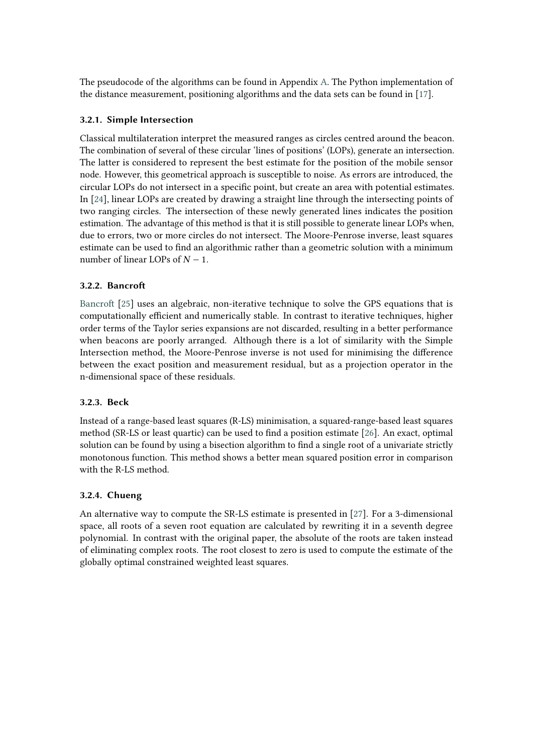The pseudocode of the algorithms can be found in Appendix [A.](#page-12-0) The Python implementation of the distance measurement, positioning algorithms and the data sets can be found in [\[17\]](#page-11-0).

### **3.2.1. Simple Intersection**

Classical multilateration interpret the measured ranges as circles centred around the beacon. The combination of several of these circular 'lines of positions' (LOPs), generate an intersection. The latter is considered to represent the best estimate for the position of the mobile sensor node. However, this geometrical approach is susceptible to noise. As errors are introduced, the circular LOPs do not intersect in a specific point, but create an area with potential estimates. In [\[24\]](#page-11-7), linear LOPs are created by drawing a straight line through the intersecting points of two ranging circles. The intersection of these newly generated lines indicates the position estimation. The advantage of this method is that it is still possible to generate linear LOPs when, due to errors, two or more circles do not intersect. The Moore-Penrose inverse, least squares estimate can be used to find an algorithmic rather than a geometric solution with a minimum number of linear LOPs of  $N - 1$ .

### **3.2.2. Bancroft**

[Bancroft](#page-11-8) [\[25\]](#page-11-8) uses an algebraic, non-iterative technique to solve the GPS equations that is computationally efficient and numerically stable. In contrast to iterative techniques, higher order terms of the Taylor series expansions are not discarded, resulting in a better performance when beacons are poorly arranged. Although there is a lot of similarity with the Simple Intersection method, the Moore-Penrose inverse is not used for minimising the difference between the exact position and measurement residual, but as a projection operator in the n-dimensional space of these residuals.

#### **3.2.3. Beck**

Instead of a range-based least squares (R-LS) minimisation, a squared-range-based least squares method (SR-LS or least quartic) can be used to find a position estimate [\[26\]](#page-11-9). An exact, optimal solution can be found by using a bisection algorithm to find a single root of a univariate strictly monotonous function. This method shows a better mean squared position error in comparison with the R-LS method.

#### **3.2.4. Chueng**

An alternative way to compute the SR-LS estimate is presented in [\[27\]](#page-11-10). For a 3-dimensional space, all roots of a seven root equation are calculated by rewriting it in a seventh degree polynomial. In contrast with the original paper, the absolute of the roots are taken instead of eliminating complex roots. The root closest to zero is used to compute the estimate of the globally optimal constrained weighted least squares.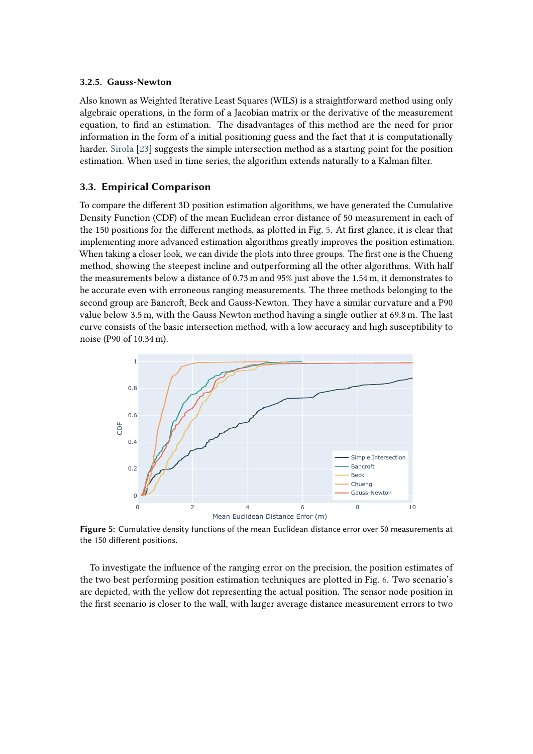#### **3.2.5. Gauss-Newton**

Also known as Weighted Iterative Least Squares (WILS) is a straightforward method using only algebraic operations, in the form of a Jacobian matrix or the derivative of the measurement equation, to find an estimation. The disadvantages of this method are the need for prior information in the form of a initial positioning guess and the fact that it is computationally harder. [Sirola](#page-11-6) [\[23\]](#page-11-6) suggests the simple intersection method as a starting point for the position estimation. When used in time series, the algorithm extends naturally to a Kalman filter.

#### **3.3. Empirical Comparison**

To compare the different 3D position estimation algorithms, we have generated the Cumulative Density Function (CDF) of the mean Euclidean error distance of 50 measurement in each of the 150 positions for the different methods, as plotted in Fig. [5.](#page-7-0) At first glance, it is clear that implementing more advanced estimation algorithms greatly improves the position estimation. When taking a closer look, we can divide the plots into three groups. The first one is the Chueng method, showing the steepest incline and outperforming all the other algorithms. With half the measurements below a distance of 0.73 m and 95% just above the 1.54 m, it demonstrates to be accurate even with erroneous ranging measurements. The three methods belonging to the second group are Bancroft, Beck and Gauss-Newton. They have a similar curvature and a P90 value below 3.5 m, with the Gauss Newton method having a single outlier at 69.8 m. The last curve consists of the basic intersection method, with a low accuracy and high susceptibility to noise (P90 of 10.34 m).

<span id="page-7-0"></span>

**Figure 5:** Cumulative density functions of the mean Euclidean distance error over 50 measurements at the 150 different positions.

To investigate the influence of the ranging error on the precision, the position estimates of the two best performing position estimation techniques are plotted in Fig. [6.](#page-8-0) Two scenario's are depicted, with the yellow dot representing the actual position. The sensor node position in the first scenario is closer to the wall, with larger average distance measurement errors to two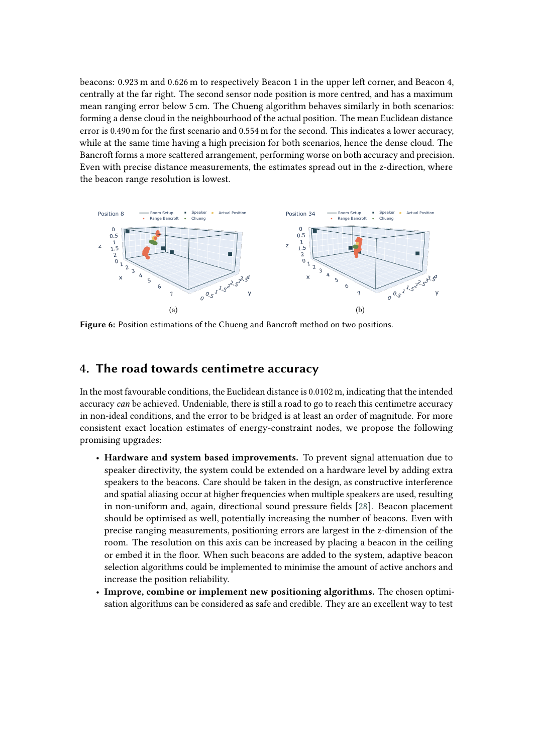beacons: 0.923 m and 0.626 m to respectively Beacon 1 in the upper left corner, and Beacon 4, centrally at the far right. The second sensor node position is more centred, and has a maximum mean ranging error below 5 cm. The Chueng algorithm behaves similarly in both scenarios: forming a dense cloud in the neighbourhood of the actual position. The mean Euclidean distance error is 0.490 m for the first scenario and 0.554 m for the second. This indicates a lower accuracy, while at the same time having a high precision for both scenarios, hence the dense cloud. The Bancroft forms a more scattered arrangement, performing worse on both accuracy and precision. Even with precise distance measurements, the estimates spread out in the z-direction, where the beacon range resolution is lowest.

<span id="page-8-0"></span>

**Figure 6:** Position estimations of the Chueng and Bancroft method on two positions.

## **4. The road towards centimetre accuracy**

In the most favourable conditions, the Euclidean distance is 0.0102 m, indicating that the intended accuracy *can* be achieved. Undeniable, there is still a road to go to reach this centimetre accuracy in non-ideal conditions, and the error to be bridged is at least an order of magnitude. For more consistent exact location estimates of energy-constraint nodes, we propose the following promising upgrades:

- **Hardware and system based improvements.** To prevent signal attenuation due to speaker directivity, the system could be extended on a hardware level by adding extra speakers to the beacons. Care should be taken in the design, as constructive interference and spatial aliasing occur at higher frequencies when multiple speakers are used, resulting in non-uniform and, again, directional sound pressure fields [\[28\]](#page-11-11). Beacon placement should be optimised as well, potentially increasing the number of beacons. Even with precise ranging measurements, positioning errors are largest in the z-dimension of the room. The resolution on this axis can be increased by placing a beacon in the ceiling or embed it in the floor. When such beacons are added to the system, adaptive beacon selection algorithms could be implemented to minimise the amount of active anchors and increase the position reliability.
- **Improve, combine or implement new positioning algorithms.** The chosen optimisation algorithms can be considered as safe and credible. They are an excellent way to test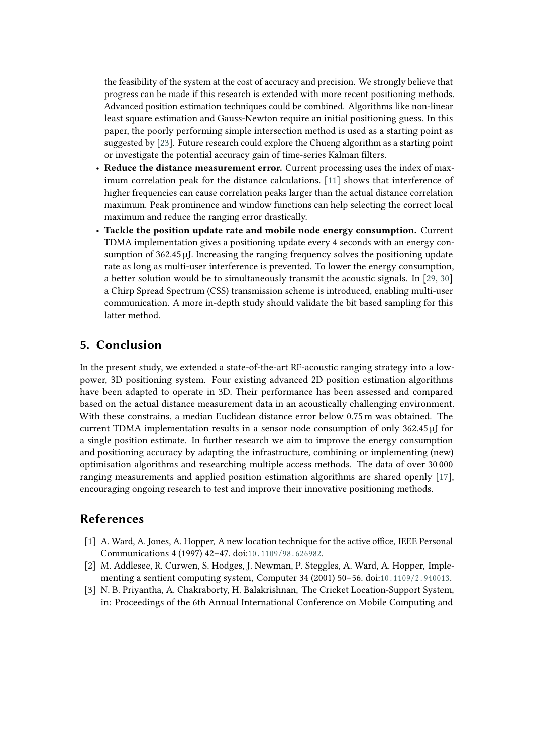the feasibility of the system at the cost of accuracy and precision. We strongly believe that progress can be made if this research is extended with more recent positioning methods. Advanced position estimation techniques could be combined. Algorithms like non-linear least square estimation and Gauss-Newton require an initial positioning guess. In this paper, the poorly performing simple intersection method is used as a starting point as suggested by [\[23\]](#page-11-6). Future research could explore the Chueng algorithm as a starting point or investigate the potential accuracy gain of time-series Kalman filters.

- **Reduce the distance measurement error.** Current processing uses the index of maximum correlation peak for the distance calculations. [\[11\]](#page-10-7) shows that interference of higher frequencies can cause correlation peaks larger than the actual distance correlation maximum. Peak prominence and window functions can help selecting the correct local maximum and reduce the ranging error drastically.
- **Tackle the position update rate and mobile node energy consumption.** Current TDMA implementation gives a positioning update every 4 seconds with an energy consumption of 362.45 µJ. Increasing the ranging frequency solves the positioning update rate as long as multi-user interference is prevented. To lower the energy consumption, a better solution would be to simultaneously transmit the acoustic signals. In [\[29,](#page-11-12) [30\]](#page-11-13) a Chirp Spread Spectrum (CSS) transmission scheme is introduced, enabling multi-user communication. A more in-depth study should validate the bit based sampling for this latter method.

# **5. Conclusion**

In the present study, we extended a state-of-the-art RF-acoustic ranging strategy into a lowpower, 3D positioning system. Four existing advanced 2D position estimation algorithms have been adapted to operate in 3D. Their performance has been assessed and compared based on the actual distance measurement data in an acoustically challenging environment. With these constrains, a median Euclidean distance error below 0.75 m was obtained. The current TDMA implementation results in a sensor node consumption of only 362.45 µJ for a single position estimate. In further research we aim to improve the energy consumption and positioning accuracy by adapting the infrastructure, combining or implementing (new) optimisation algorithms and researching multiple access methods. The data of over 30 000 ranging measurements and applied position estimation algorithms are shared openly [\[17\]](#page-11-0), encouraging ongoing research to test and improve their innovative positioning methods.

## **References**

- <span id="page-9-0"></span>[1] A. Ward, A. Jones, A. Hopper, A new location technique for the active office, IEEE Personal Communications 4 (1997) 42-47. doi:10.1109/98.626982.
- <span id="page-9-1"></span>[2] M. Addlesee, R. Curwen, S. Hodges, J. Newman, P. Steggles, A. Ward, A. Hopper, Implementing a sentient computing system, Computer 34 (2001) 50–56, doi:10, 1109/2, 940013.
- <span id="page-9-2"></span>[3] N. B. Priyantha, A. Chakraborty, H. Balakrishnan, The Cricket Location-Support System, in: Proceedings of the 6th Annual International Conference on Mobile Computing and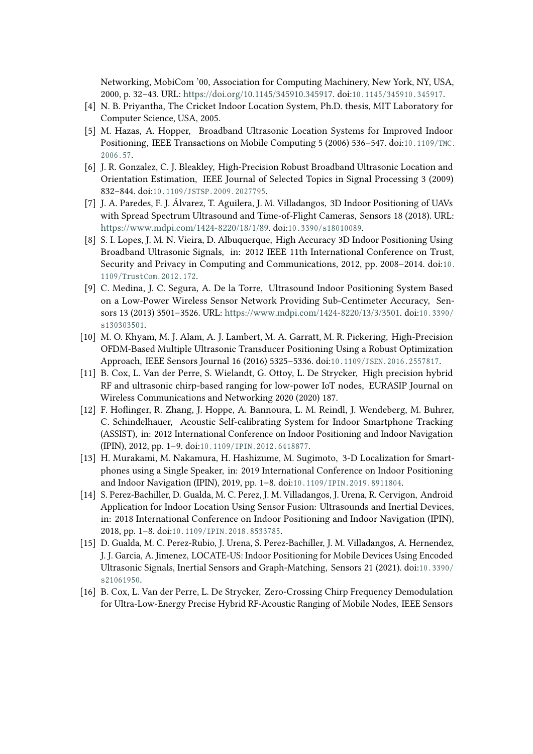Networking, MobiCom '00, Association for Computing Machinery, New York, NY, USA, 2000, p. 32-43. URL: [https://doi.org/10.1145/345910.345917.](https://doi.org/10.1145/345910.345917) doi:10.1145/345910.345917.

- <span id="page-10-0"></span>[4] N. B. Priyantha, The Cricket Indoor Location System, Ph.D. thesis, MIT Laboratory for Computer Science, USA, 2005.
- <span id="page-10-1"></span>[5] M. Hazas, A. Hopper, Broadband Ultrasonic Location Systems for Improved Indoor Positioning, IEEE Transactions on Mobile Computing 5 (2006) 536–547. doi:10.1109/TMC.  $2006.57$ .
- <span id="page-10-2"></span>[6] J. R. Gonzalez, C. J. Bleakley, High-Precision Robust Broadband Ultrasonic Location and Orientation Estimation, IEEE Journal of Selected Topics in Signal Processing 3 (2009) 832-844. doi:10.1109/JSTSP.2009.2027795.
- <span id="page-10-3"></span>[7] J. A. Paredes, F. J. Álvarez, T. Aguilera, J. M. Villadangos, 3D Indoor Positioning of UAVs with Spread Spectrum Ultrasound and Time-of-Flight Cameras, Sensors 18 (2018). URL: [https://www.mdpi.com/1424-8220/18/1/89.](https://www.mdpi.com/1424-8220/18/1/89) doi:10.3390/s18010089.
- <span id="page-10-4"></span>[8] S. I. Lopes, J. M. N. Vieira, D. Albuquerque, High Accuracy 3D Indoor Positioning Using Broadband Ultrasonic Signals, in: 2012 IEEE 11th International Conference on Trust, Security and Privacy in Computing and Communications, 2012, pp. 2008–2014. doi:10. 1109/TrustCom.2012.172.
- <span id="page-10-5"></span>[9] C. Medina, J. C. Segura, A. De la Torre, Ultrasound Indoor Positioning System Based on a Low-Power Wireless Sensor Network Providing Sub-Centimeter Accuracy, Sensors 13 (2013) 3501-3526. URL: [https://www.mdpi.com/1424-8220/13/3/3501.](https://www.mdpi.com/1424-8220/13/3/3501) doi:10.3390/ [s 1 3 0 3 0 3 5 0 1](http://dx.doi.org/10.3390/s130303501).
- <span id="page-10-6"></span>[10] M. O. Khyam, M. J. Alam, A. J. Lambert, M. A. Garratt, M. R. Pickering, High-Precision OFDM-Based Multiple Ultrasonic Transducer Positioning Using a Robust Optimization Approach, IEEE Sensors Journal 16 (2016) 5325-5336. doi:10.1109/JSEN.2016.2557817.
- <span id="page-10-7"></span>[11] B. Cox, L. Van der Perre, S. Wielandt, G. Ottoy, L. De Strycker, High precision hybrid RF and ultrasonic chirp-based ranging for low-power IoT nodes, EURASIP Journal on Wireless Communications and Networking 2020 (2020) 187.
- <span id="page-10-8"></span>[12] F. Hoflinger, R. Zhang, J. Hoppe, A. Bannoura, L. M. Reindl, J. Wendeberg, M. Buhrer, C. Schindelhauer, Acoustic Self-calibrating System for Indoor Smartphone Tracking (ASSIST), in: 2012 International Conference on Indoor Positioning and Indoor Navigation (IPIN), 2012, pp. 1-9. doi:10.1109/IPIN.2012.6418877.
- <span id="page-10-9"></span>[13] H. Murakami, M. Nakamura, H. Hashizume, M. Sugimoto, 3-D Localization for Smartphones using a Single Speaker, in: 2019 International Conference on Indoor Positioning and Indoor Navigation (IPIN), 2019, pp. 1-8. doi:10.1109/IPIN.2019.8911804.
- <span id="page-10-10"></span>[14] S. Perez-Bachiller, D. Gualda, M. C. Perez, J. M. Villadangos, J. Urena, R. Cervigon, Android Application for Indoor Location Using Sensor Fusion: Ultrasounds and Inertial Devices, in: 2018 International Conference on Indoor Positioning and Indoor Navigation (IPIN), 2018, pp. 1-8. doi:10.1109/IPIN.2018.8533785.
- <span id="page-10-11"></span>[15] D. Gualda, M. C. Perez-Rubio, J. Urena, S. Perez-Bachiller, J. M. Villadangos, A. Hernendez, J. J. Garcia, A. Jimenez, LOCATE-US: Indoor Positioning for Mobile Devices Using Encoded Ultrasonic Signals, Inertial Sensors and Graph-Matching, Sensors 21 (2021). doi:10.3390/ [s 2 1 0 6 1 9 5 0](http://dx.doi.org/10.3390/s21061950).
- <span id="page-10-12"></span>[16] B. Cox, L. Van der Perre, L. De Strycker, Zero-Crossing Chirp Frequency Demodulation for Ultra-Low-Energy Precise Hybrid RF-Acoustic Ranging of Mobile Nodes, IEEE Sensors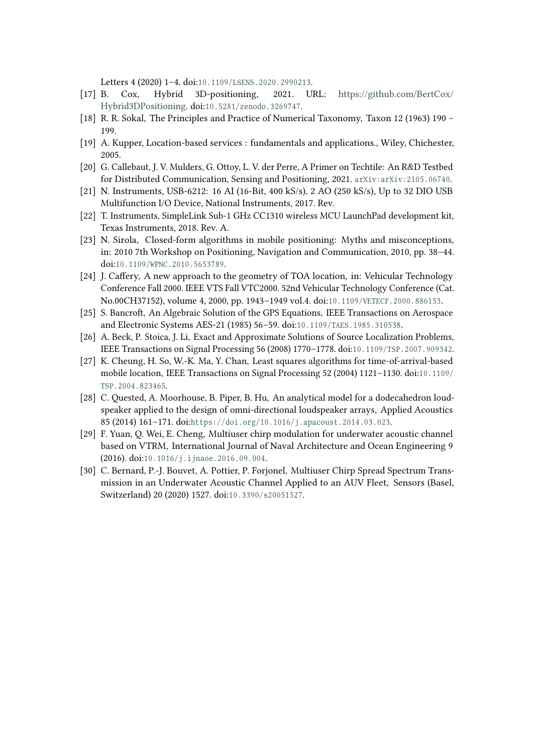Letters 4 (2020) 1-4. doi:10.1109/LSENS.2020.2990213.

- <span id="page-11-0"></span>[17] B. Cox, Hybrid 3D-positioning, 2021. URL: [https://github.com/BertCox/](https://github.com/BertCox/Hybrid3DPositioning) [Hybrid3DPositioning.](https://github.com/BertCox/Hybrid3DPositioning) doi:10.5281/zenodo.3269747.
- <span id="page-11-1"></span>[18] R. R. Sokal, The Principles and Practice of Numerical Taxonomy, Taxon 12 (1963) 190 – 199.
- <span id="page-11-2"></span>[19] A. Kupper, Location-based services : fundamentals and applications., Wiley, Chichester, 2005.
- <span id="page-11-3"></span>[20] G. Callebaut, J. V. Mulders, G. Ottoy, L. V. der Perre, A Primer on Techtile: An R&D Testbed for Distributed Communication, Sensing and Positioning, 2021. arXiv: arXiv: 2105.06740.
- <span id="page-11-4"></span>[21] N. Instruments, USB-6212: 16 AI (16-Bit, 400 kS/s), 2 AO (250 kS/s), Up to 32 DIO USB Multifunction I/O Device, National Instruments, 2017. Rev.
- <span id="page-11-5"></span>[22] T. Instruments, SimpleLink Sub-1 GHz CC1310 wireless MCU LaunchPad development kit, Texas Instruments, 2018. Rev. A.
- <span id="page-11-6"></span>[23] N. Sirola, Closed-form algorithms in mobile positioning: Myths and misconceptions, in: 2010 7th Workshop on Positioning, Navigation and Communication, 2010, pp. 38–44. doi:10.1109/WPNC.2010.5653789.
- <span id="page-11-7"></span>[24] J. Caffery, A new approach to the geometry of TOA location, in: Vehicular Technology Conference Fall 2000. IEEE VTS Fall VTC2000. 52nd Vehicular Technology Conference (Cat. No.00CH37152), volume 4, 2000, pp. 1943-1949 vol.4. doi:10.1109/VETECF.2000.886153.
- <span id="page-11-8"></span>[25] S. Bancroft, An Algebraic Solution of the GPS Equations, IEEE Transactions on Aerospace and Electronic Systems AES-21 (1985) 56-59. doi:10.1109/TAES.1985.310538.
- <span id="page-11-9"></span>[26] A. Beck, P. Stoica, J. Li, Exact and Approximate Solutions of Source Localization Problems, IEEE Transactions on Signal Processing 56 (2008) 1770-1778. doi:10.1109/TSP.2007.909342.
- <span id="page-11-10"></span>[27] K. Cheung, H. So, W.-K. Ma, Y. Chan, Least squares algorithms for time-of-arrival-based mobile location, IEEE Transactions on Signal Processing 52 (2004) 1121-1130. doi:10.1109/ TSP. 2004.823465.
- <span id="page-11-11"></span>[28] C. Quested, A. Moorhouse, B. Piper, B. Hu, An analytical model for a dodecahedron loudspeaker applied to the design of omni-directional loudspeaker arrays, Applied Acoustics 85 (2014) 161-171. doi:https://doi.org/10.1016/j.apacoust.2014.03.023.
- <span id="page-11-12"></span>[29] F. Yuan, Q. Wei, E. Cheng, Multiuser chirp modulation for underwater acoustic channel based on VTRM, International Journal of Naval Architecture and Ocean Engineering 9 (2016). doi:10.1016/j.ijnaoe.2016.09.004.
- <span id="page-11-13"></span>[30] C. Bernard, P.-J. Bouvet, A. Pottier, P. Forjonel, Multiuser Chirp Spread Spectrum Transmission in an Underwater Acoustic Channel Applied to an AUV Fleet, Sensors (Basel, Switzerland) 20 (2020) 1527. doi:10.3390/s20051527.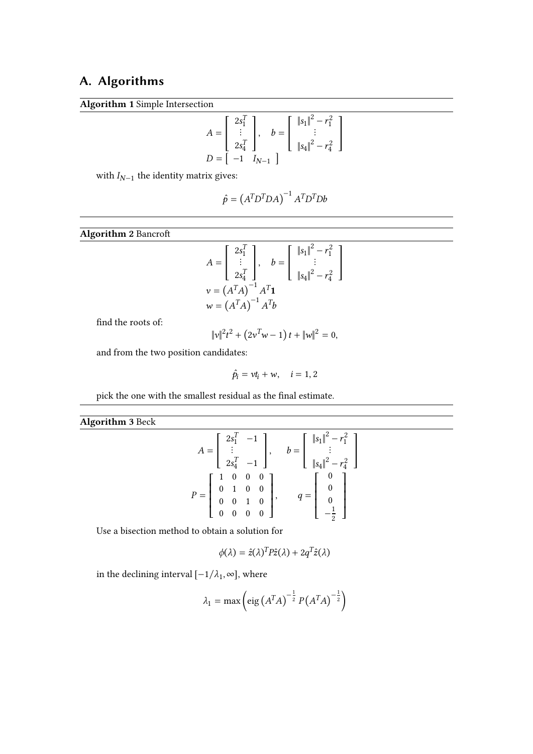# <span id="page-12-0"></span>**A. Algorithms**

**Algorithm 1** Simple Intersection

$$
A = \begin{bmatrix} 2s_1^T \\ \vdots \\ 2s_4^T \end{bmatrix}, \quad b = \begin{bmatrix} ||s_1||^2 - r_1^2 \\ \vdots \\ ||s_4||^2 - r_4^2 \end{bmatrix}
$$

$$
D = \begin{bmatrix} -1 & I_{N-1} \end{bmatrix}
$$

with  $I_{N-1}$  the identity matrix gives:

$$
\hat{p} = \left(A^T D^T D A\right)^{-1} A^T D^T D b
$$

**Algorithm 2** Bancroft

$$
A = \begin{bmatrix} 2s_1^T \\ \vdots \\ 2s_4^T \end{bmatrix}, \quad b = \begin{bmatrix} ||s_1||^2 - r_1^2 \\ \vdots \\ ||s_4||^2 - r_4^2 \end{bmatrix}
$$

$$
v = (A^T A)^{-1} A^T \mathbf{1}
$$

$$
w = (A^T A)^{-1} A^T b
$$

find the roots of:

$$
\|v\|^2 t^2 + (2v^T w - 1) t + \|w\|^2 = 0,
$$

and from the two position candidates:

$$
\hat{p}_i = vt_i + w, \quad i = 1, 2
$$

pick the one with the smallest residual as the final estimate.

# **Algorithm 3** Beck

$$
A = \begin{bmatrix} 2s_1^T & -1 \\ \vdots & & \\ 2s_4^T & -1 \end{bmatrix}, \quad b = \begin{bmatrix} ||s_1||^2 - r_1^2 \\ \vdots \\ ||s_4||^2 - r_4^2 \end{bmatrix}
$$

$$
P = \begin{bmatrix} 1 & 0 & 0 & 0 \\ 0 & 1 & 0 & 0 \\ 0 & 0 & 1 & 0 \\ 0 & 0 & 0 & 0 \end{bmatrix}, \quad q = \begin{bmatrix} 0 \\ 0 \\ 0 \\ -\frac{1}{2} \end{bmatrix}
$$

Use a bisection method to obtain a solution for

$$
\phi(\lambda) = \hat{z}(\lambda)^T P \hat{z}(\lambda) + 2q^T \hat{z}(\lambda)
$$

in the declining interval  $[-1/\lambda_1, \infty]$ , where

$$
\lambda_1 = \max\left(\text{eig}\left(A^T A\right)^{-\frac{1}{2}} P\left(A^T A\right)^{-\frac{1}{2}}\right)
$$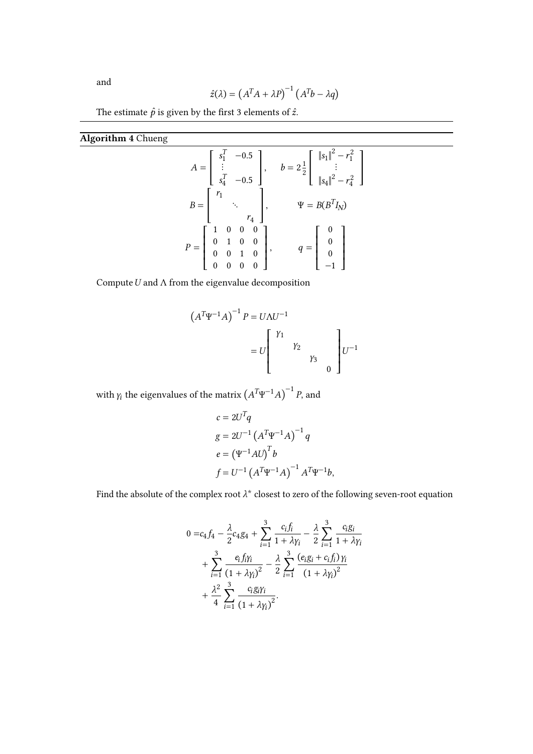and

$$
\hat{z}(\lambda) = (A^T A + \lambda P)^{-1} (A^T b - \lambda q)
$$

The estimate  $\hat{p}$  is given by the first 3 elements of  $\hat{z}.$ 

**Algorithm 4** Chueng

|                                                                                                                        | $A = \begin{bmatrix} s_1^T & -0.5 \\ \vdots & \\ s_4^T & -0.5 \end{bmatrix}, \quad b = 2\frac{1}{2} \begin{bmatrix}   s_1  ^2 - r_1^2 \\ \vdots \\   s_4  ^2 - r_4^2 \end{bmatrix}$ |
|------------------------------------------------------------------------------------------------------------------------|-------------------------------------------------------------------------------------------------------------------------------------------------------------------------------------|
| $B = \begin{bmatrix} r_1 & & & \\ & \ddots & & \\ & & r_4 \end{bmatrix},$                                              | $\Psi = B(B^TI_N)$                                                                                                                                                                  |
| $P = \left[ \begin{array}{cccc} 1 & 0 & 0 & 0 \\ 0 & 1 & 0 & 0 \\ 0 & 0 & 1 & 0 \\ 0 & 0 & 0 & 0 \end{array} \right],$ | $q=\left[\begin{array}{cc} 0\\ 0\\ 0 \end{array}\right]$                                                                                                                            |

Compute  $U$  and  $\Lambda$  from the eigenvalue decomposition

$$
(A^{T}\Psi^{-1}A)^{-1} P = U\Lambda U^{-1}
$$
  
=  $U \begin{bmatrix} Y_1 \\ Y_2 \\ Y_3 \\ 0 \end{bmatrix} U^{-1}$ 

with  $\gamma_i$  the eigenvalues of the matrix  $\left(A^T\Psi^{-1}A\right)^{-1}P$ , and

$$
c = 2UTq
$$
  
\n
$$
g = 2U^{-1} (AT \Psi^{-1} A)^{-1} q
$$
  
\n
$$
e = (\Psi^{-1} A U)^{T} b
$$
  
\n
$$
f = U^{-1} (AT \Psi^{-1} A)^{-1} AT \Psi^{-1} b,
$$

Find the absolute of the complex root  $\lambda^*$  closest to zero of the following seven-root equation

$$
0 = c_4 f_4 - \frac{\lambda}{2} c_4 g_4 + \sum_{i=1}^3 \frac{c_i f_i}{1 + \lambda \gamma_i} - \frac{\lambda}{2} \sum_{i=1}^3 \frac{c_i g_i}{1 + \lambda \gamma_i} + \sum_{i=1}^3 \frac{e_i f_i \gamma_i}{(1 + \lambda \gamma_i)^2} - \frac{\lambda}{2} \sum_{i=1}^3 \frac{(e_i g_i + c_i f_i) \gamma_i}{(1 + \lambda \gamma_i)^2} + \frac{\lambda^2}{4} \sum_{i=1}^3 \frac{c_i g_i \gamma_i}{(1 + \lambda \gamma_i)^2}.
$$